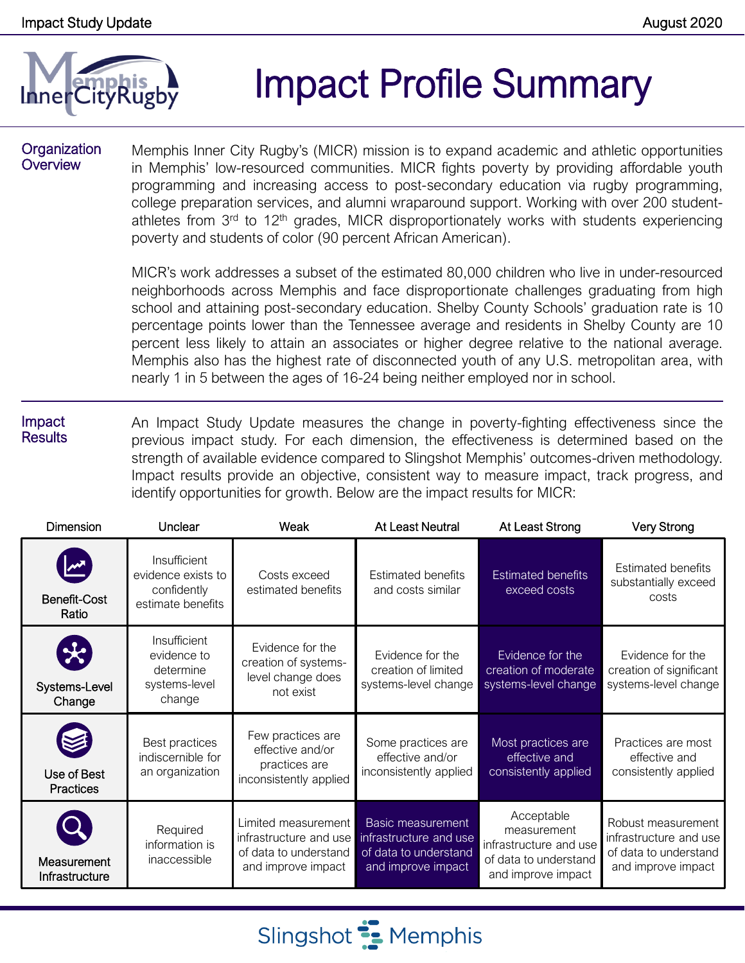

# Impact Profile Summary

#### **Organization Overview**

Memphis Inner City Rugby's (MICR) mission is to expand academic and athletic opportunities in Memphis' low-resourced communities. MICR fights poverty by providing affordable youth programming and increasing access to post-secondary education via rugby programming, college preparation services, and alumni wraparound support. Working with over 200 studentathletes from 3<sup>rd</sup> to 12<sup>th</sup> grades, MICR disproportionately works with students experiencing poverty and students of color (90 percent African American).

MICR's work addresses a subset of the estimated 80,000 children who live in under-resourced neighborhoods across Memphis and face disproportionate challenges graduating from high school and attaining post-secondary education. Shelby County Schools' graduation rate is 10 percentage points lower than the Tennessee average and residents in Shelby County are 10 percent less likely to attain an associates or higher degree relative to the national average. Memphis also has the highest rate of disconnected youth of any U.S. metropolitan area, with nearly 1 in 5 between the ages of 16-24 being neither employed nor in school.

#### Impact **Results** An Impact Study Update measures the change in poverty-fighting effectiveness since the previous impact study. For each dimension, the effectiveness is determined based on the strength of available evidence compared to Slingshot Memphis' outcomes-driven methodology. Impact results provide an objective, consistent way to measure impact, track progress, and identify opportunities for growth. Below are the impact results for MICR:

| <b>Dimension</b>                                                  | Unclear                                                                | Weak                                                                                         | At Least Neutral                                                                           | At Least Strong                                                                                    | <b>Very Strong</b>                                                                          |
|-------------------------------------------------------------------|------------------------------------------------------------------------|----------------------------------------------------------------------------------------------|--------------------------------------------------------------------------------------------|----------------------------------------------------------------------------------------------------|---------------------------------------------------------------------------------------------|
| <b>Benefit-Cost</b><br>Ratio                                      | Insufficient<br>evidence exists to<br>confidently<br>estimate benefits | Costs exceed<br>estimated benefits                                                           | <b>Estimated benefits</b><br>and costs similar                                             | <b>Estimated benefits</b><br>exceed costs                                                          | <b>Estimated benefits</b><br>substantially exceed<br>costs                                  |
| $\left\langle \mathbf{x}\right\rangle$<br>Systems-Level<br>Change | Insufficient<br>evidence to<br>determine<br>systems-level<br>change    | Evidence for the<br>creation of systems-<br>level change does<br>not exist                   | Evidence for the<br>creation of limited<br>systems-level change                            | Evidence for the<br>creation of moderate<br>systems-level change                                   | Evidence for the<br>creation of significant<br>systems-level change                         |
| Use of Best<br><b>Practices</b>                                   | Best practices<br>indiscernible for<br>an organization                 | Few practices are<br>effective and/or<br>practices are<br>inconsistently applied             | Some practices are<br>effective and/or<br>inconsistently applied                           | Most practices are<br>effective and<br>consistently applied                                        | Practices are most<br>effective and<br>consistently applied                                 |
| Measurement<br>Infrastructure                                     | Required<br>information is<br>inaccessible                             | Limited measurement<br>infrastructure and use<br>of data to understand<br>and improve impact | Basic measurement<br>infrastructure and use<br>of data to understand<br>and improve impact | Acceptable<br>measurement<br>infrastructure and use<br>of data to understand<br>and improve impact | Robust measurement<br>infrastructure and use<br>of data to understand<br>and improve impact |

Slingshot **:** Memphis